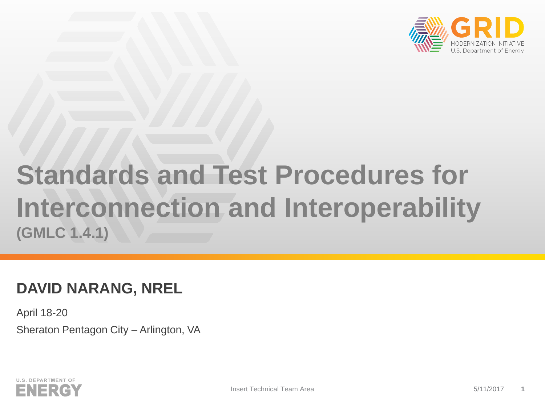

# **Standards and Test Procedures for Interconnection and Interoperability (GMLC 1.4.1)**

# **DAVID NARANG, NREL**

April 18-20 Sheraton Pentagon City – Arlington, VA

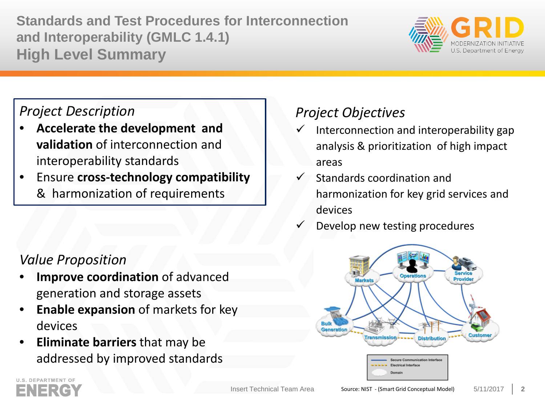**Standards and Test Procedures for Interconnection and Interoperability (GMLC 1.4.1) High Level Summary**



### *Project Description*

- **Accelerate the development and validation** of interconnection and interoperability standards
- Ensure **cross-technology compatibility**  & harmonization of requirements

## *Value Proposition*

- **Improve coordination** of advanced generation and storage assets
- **Enable expansion** of markets for key devices
- **Eliminate barriers** that may be addressed by improved standards

# *Project Objectives*

- Interconnection and interoperability gap analysis & prioritization of high impact areas
- Standards coordination and harmonization for key grid services and devices
- Develop new testing procedures



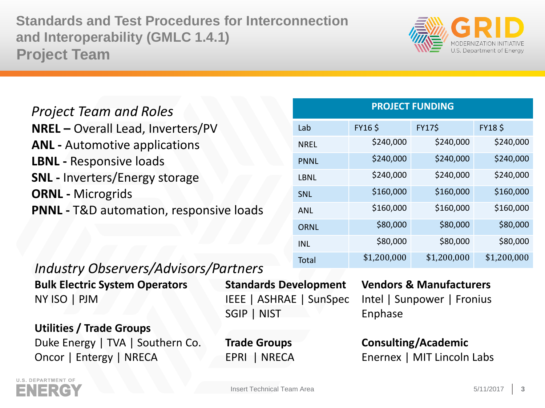**Standards and Test Procedures for Interconnection and Interoperability (GMLC 1.4.1) Project Team**



### *Project Team and Roles* **NREL –** Overall Lead, Inverters/PV **ANL -** Automotive applications **LBNL -** Responsive loads **SNL -** Inverters/Energy storage **ORNL -** Microgrids **PNNL -** T&D automation, responsive loads

#### **PROJECT FUNDING**

| Lab         | <b>FY16\$</b> | <b>FY17\$</b> | <b>FY18 \$</b> |
|-------------|---------------|---------------|----------------|
| <b>NREL</b> | \$240,000     | \$240,000     | \$240,000      |
| <b>PNNL</b> | \$240,000     | \$240,000     | \$240,000      |
| LBNL        | \$240,000     | \$240,000     | \$240,000      |
| <b>SNL</b>  | \$160,000     | \$160,000     | \$160,000      |
| ANL         | \$160,000     | \$160,000     | \$160,000      |
| <b>ORNL</b> | \$80,000      | \$80,000      | \$80,000       |
| <b>INL</b>  | \$80,000      | \$80,000      | \$80,000       |
| Total       | \$1,200,000   | \$1,200,000   | \$1,200,000    |

### *Industry Observers/Advisors/Partners*

**Bulk Electric System Operators Standards Development Vendors & Manufacturers** NY ISO | PJM IEEE | ASHRAE | SunSpec Intel | Sunpower | Fronius

**Utilities / Trade Groups** Duke Energy | TVA | Southern Co. **Trade Groups Consulting/Academic** Oncor | Entergy | NRECA EPRI | NRECA Enernex | MIT Lincoln Labs

SGIP | NIST Enphase

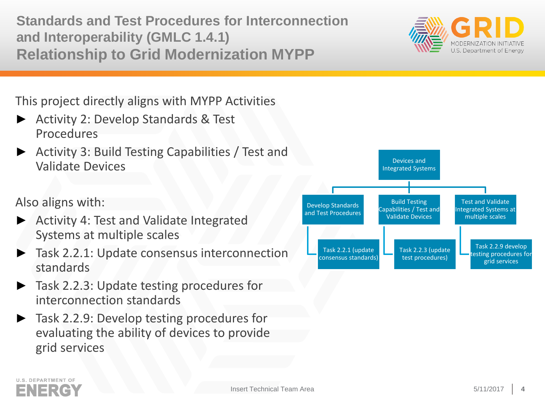**Standards and Test Procedures for Interconnection and Interoperability (GMLC 1.4.1) Relationship to Grid Modernization MYPP**



This project directly aligns with MYPP Activities

- ► Activity 2: Develop Standards & Test Procedures
- ► Activity 3: Build Testing Capabilities / Test and Validate Devices

Also aligns with:

- **Activity 4: Test and Validate Integrated** Systems at multiple scales
- ► Task 2.2.1: Update consensus interconnection standards
- ► Task 2.2.3: Update testing procedures for interconnection standards
- ► Task 2.2.9: Develop testing procedures for evaluating the ability of devices to provide grid services



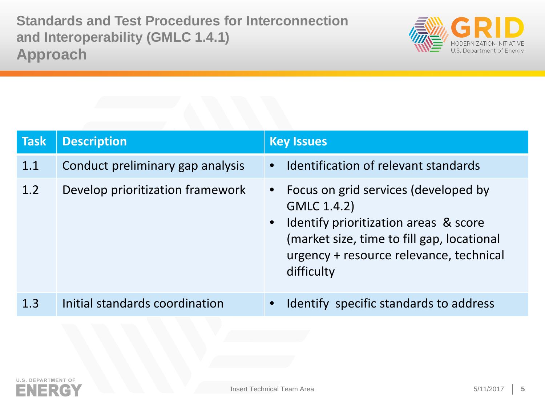**Standards and Test Procedures for Interconnection and Interoperability (GMLC 1.4.1) Approach**



| <b>Task</b> | <b>Description</b>               | <b>Key Issues</b>                                                                                                                                                                                       |
|-------------|----------------------------------|---------------------------------------------------------------------------------------------------------------------------------------------------------------------------------------------------------|
| 1.1         | Conduct preliminary gap analysis | • Identification of relevant standards                                                                                                                                                                  |
| 1.2         | Develop prioritization framework | • Focus on grid services (developed by<br>GMLC 1.4.2)<br>• Identify prioritization areas & score<br>(market size, time to fill gap, locational<br>urgency + resource relevance, technical<br>difficulty |
| 1.3         | Initial standards coordination   | Identify specific standards to address<br>$\bullet$                                                                                                                                                     |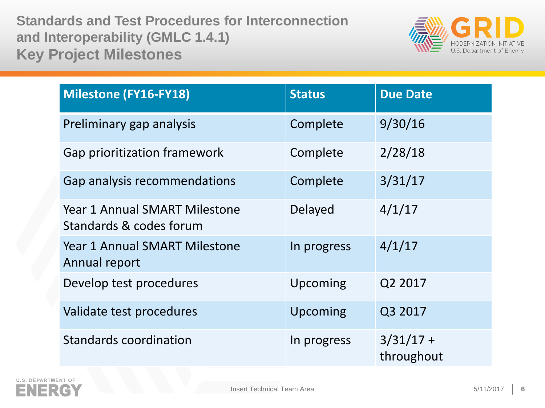**Standards and Test Procedures for Interconnection and Interoperability (GMLC 1.4.1) Key Project Milestones**



| <b>Milestone (FY16-FY18)</b>                                    | <b>Status</b> | <b>Due Date</b>           |
|-----------------------------------------------------------------|---------------|---------------------------|
| Preliminary gap analysis                                        | Complete      | 9/30/16                   |
| Gap prioritization framework                                    | Complete      | 2/28/18                   |
| Gap analysis recommendations                                    | Complete      | 3/31/17                   |
| <b>Year 1 Annual SMART Milestone</b><br>Standards & codes forum | Delayed       | 4/1/17                    |
| Year 1 Annual SMART Milestone<br>Annual report                  | In progress   | 4/1/17                    |
| Develop test procedures                                         | Upcoming      | Q2 2017                   |
| Validate test procedures                                        | Upcoming      | Q3 2017                   |
| <b>Standards coordination</b>                                   | In progress   | $3/31/17 +$<br>throughout |

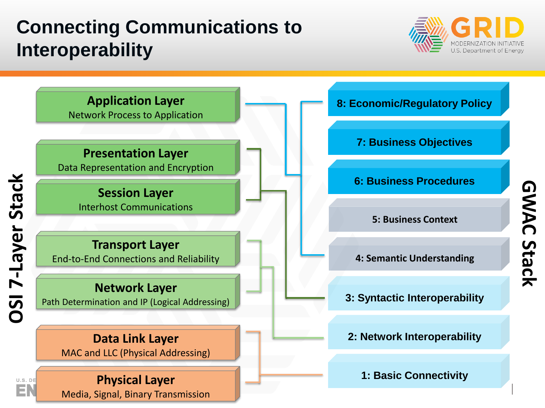# **Connecting Communications to Interoperability**



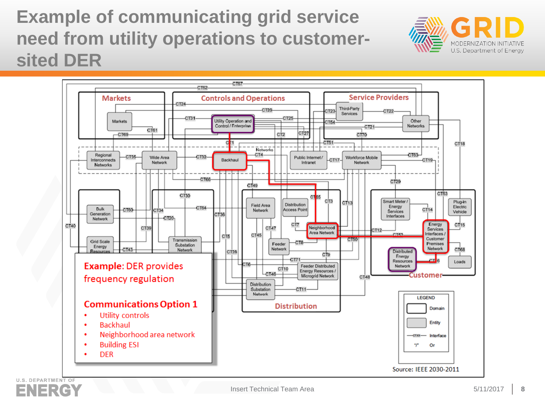# **Example of communicating grid service need from utility operations to customersited DER**



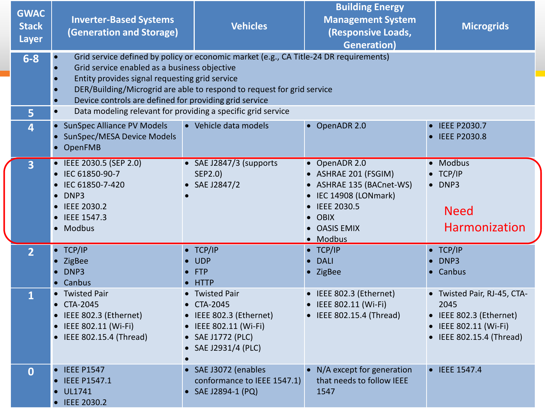| <b>GWAC</b><br><b>Stack</b><br>Layer | <b>Inverter-Based Systems</b><br>(Generation and Storage)                                                                                                                                                                | <b>Vehicles</b>                                                                                                                                                 | <b>Building Energy</b><br><b>Management System</b><br>(Responsive Loads,<br><b>Generation)</b>                                                         | <b>Microgrids</b>                                                                                                   |  |
|--------------------------------------|--------------------------------------------------------------------------------------------------------------------------------------------------------------------------------------------------------------------------|-----------------------------------------------------------------------------------------------------------------------------------------------------------------|--------------------------------------------------------------------------------------------------------------------------------------------------------|---------------------------------------------------------------------------------------------------------------------|--|
| $6 - 8$                              | Grid service enabled as a business objective<br>Entity provides signal requesting grid service<br>Device controls are defined for providing grid service<br>Data modeling relevant for providing a specific grid service | Grid service defined by policy or economic market (e.g., CA Title-24 DR requirements)<br>DER/Building/Microgrid are able to respond to request for grid service |                                                                                                                                                        |                                                                                                                     |  |
| 5<br>$\overline{4}$                  | $\bullet$<br><b>SunSpec Alliance PV Models</b><br>SunSpec/MESA Device Models<br>• OpenFMB                                                                                                                                | • Vehicle data models                                                                                                                                           | • OpenADR 2.0                                                                                                                                          | • IEEE P2030.7<br>• IEEE P2030.8                                                                                    |  |
| 3                                    | • IEEE 2030.5 (SEP 2.0)<br>IEC 61850-90-7<br>IEC 61850-7-420<br>DNP3<br>$\bullet$<br>• IEEE 2030.2<br>• IEEE 1547.3<br>Modbus                                                                                            | • SAE J2847/3 (supports<br>SEP2.0)<br>SAE J2847/2                                                                                                               | • OpenADR 2.0<br>• ASHRAE 201 (FSGIM)<br>• ASHRAE 135 (BACnet-WS)<br>• IEC 14908 (LONmark)<br><b>IEEE 2030.5</b><br>• OBIX<br>• OASIS EMIX<br>• Modbus | • Modbus<br>• TCP/IP<br>$\bullet$ DNP3<br><b>Need</b><br><b>Harmonization</b>                                       |  |
| $\overline{2}$                       | $\bullet$ TCP/IP<br>ZigBee<br>DNP3<br>• Canbus                                                                                                                                                                           | $\bullet$ TCP/IP<br><b>UDP</b><br><b>FTP</b><br><b>HTTP</b>                                                                                                     | $\bullet$ TCP/IP<br><b>DALI</b><br>• ZigBee                                                                                                            | • TCP/IP<br>$\bullet$ DNP3<br>• Canbus                                                                              |  |
| $\mathbf{1}$                         | <b>Twisted Pair</b><br>• CTA-2045<br>• IEEE 802.3 (Ethernet)<br>• IEEE 802.11 (Wi-Fi)<br>IEEE 802.15.4 (Thread)                                                                                                          | <b>Twisted Pair</b><br>CTA-2045<br>• IEEE 802.3 (Ethernet)<br>• IEEE 802.11 (Wi-Fi)<br>• SAE J1772 (PLC)<br>SAE J2931/4 (PLC)                                   | • IEEE 802.3 (Ethernet)<br>IEEE 802.11 (Wi-Fi)<br>• IEEE 802.15.4 (Thread)                                                                             | • Twisted Pair, RJ-45, CTA-<br>2045<br>• IEEE 802.3 (Ethernet)<br>• IEEE 802.11 (Wi-Fi)<br>• IEEE 802.15.4 (Thread) |  |
| $\mathbf 0$                          | <b>IEEE P1547</b><br>$\bullet$<br><b>IEEE P1547.1</b><br><b>UL1741</b><br><b>IEEE 2030.2</b>                                                                                                                             | • SAE J3072 (enables<br>conformance to IEEE 1547.1)<br>SAE J2894-1 (PQ)                                                                                         | • N/A except for generation<br>that needs to follow IEEE<br>1547                                                                                       | • IEEE 1547.4                                                                                                       |  |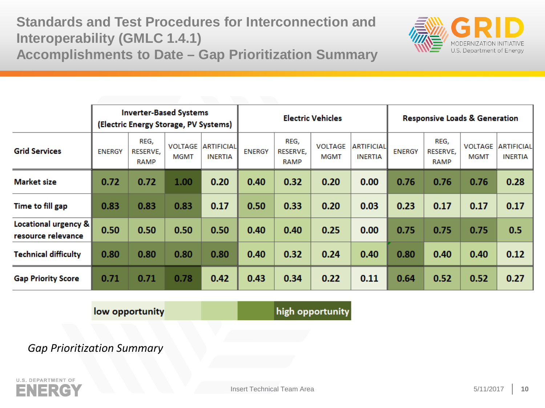**Standards and Test Procedures for Interconnection and Interoperability (GMLC 1.4.1) Accomplishments to Date – Gap Prioritization Summary**



|                                            | <b>Inverter-Based Systems</b><br>(Electric Energy Storage, PV Systems) |                                 |                               | <b>Electric Vehicles</b>            |               |                          | <b>Responsive Loads &amp; Generation</b> |                                      |               |                          |                               |                                     |
|--------------------------------------------|------------------------------------------------------------------------|---------------------------------|-------------------------------|-------------------------------------|---------------|--------------------------|------------------------------------------|--------------------------------------|---------------|--------------------------|-------------------------------|-------------------------------------|
| <b>Grid Services</b>                       | <b>ENERGY</b>                                                          | REG,<br>RESERVE,<br><b>RAMP</b> | <b>VOLTAGE</b><br><b>MGMT</b> | <b>ARTIFICIAL</b><br><b>INERTIA</b> | <b>ENERGY</b> | REG,<br>RESERVE,<br>RAMP | <b>VOLTAGE</b><br><b>MGMT</b>            | <b>ARTIFICIALI</b><br><b>INERTIA</b> | <b>ENERGY</b> | REG,<br>RESERVE,<br>RAMP | <b>VOLTAGE</b><br><b>MGMT</b> | <b>ARTIFICIAL</b><br><b>INERTIA</b> |
| <b>Market size</b>                         | 0.72                                                                   | 0.72                            | 1.00                          | 0.20                                | 0.40          | 0.32                     | 0.20                                     | 0.00                                 | 0.76          | 0.76                     | 0.76                          | 0.28                                |
| Time to fill gap                           | 0.83                                                                   | 0.83                            | 0.83                          | 0.17                                | 0.50          | 0.33                     | 0.20                                     | 0.03                                 | 0.23          | 0.17                     | 0.17                          | 0.17                                |
| Locational urgency &<br>resource relevance | 0.50                                                                   | 0.50                            | 0.50                          | 0.50                                | 0.40          | 0.40                     | 0.25                                     | 0.00                                 | 0.75          | 0.75                     | 0.75                          | 0.5                                 |
| Technical difficulty                       | 0.80                                                                   | 0.80                            | 0.80                          | 0.80                                | 0.40          | 0.32                     | 0.24                                     | 0.40                                 | 0.80          | 0.40                     | 0.40                          | 0.12                                |
| <b>Gap Priority Score</b>                  | 0.71                                                                   | 0.71                            | 0.78                          | 0.42                                | 0.43          | 0.34                     | 0.22                                     | 0.11                                 | 0.64          | 0.52                     | 0.52                          | 0.27                                |

low opportunity

high opportunity

*Gap Prioritization Summary*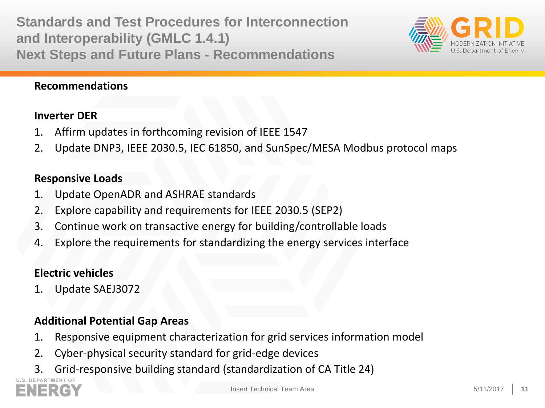**Standards and Test Procedures for Interconnection and Interoperability (GMLC 1.4.1) Next Steps and Future Plans - Recommendations**



#### **Recommendations**

#### **Inverter DER**

- 1. Affirm updates in forthcoming revision of IEEE 1547
- 2. Update DNP3, IEEE 2030.5, IEC 61850, and SunSpec/MESA Modbus protocol maps

#### **Responsive Loads**

- 1. Update OpenADR and ASHRAE standards
- 2. Explore capability and requirements for IEEE 2030.5 (SEP2)
- 3. Continue work on transactive energy for building/controllable loads
- 4. Explore the requirements for standardizing the energy services interface

### **Electric vehicles**

1. Update SAEJ3072

### **Additional Potential Gap Areas**

- 1. Responsive equipment characterization for grid services information model
- 2. Cyber-physical security standard for grid-edge devices
- 3. Grid-responsive building standard (standardization of CA Title 24)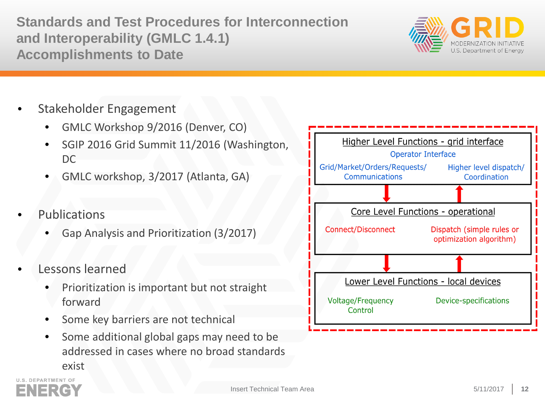**Standards and Test Procedures for Interconnection and Interoperability (GMLC 1.4.1) Accomplishments to Date**



- Stakeholder Engagement
	- GMLC Workshop 9/2016 (Denver, CO)
	- SGIP 2016 Grid Summit 11/2016 (Washington,  $DC$
	- GMLC workshop, 3/2017 (Atlanta, GA)
- **Publications** 
	- Gap Analysis and Prioritization (3/2017)
- Lessons learned
	- Prioritization is important but not straight forward
	- Some key barriers are not technical
	- Some additional global gaps may need to be addressed in cases where no broad standards exist



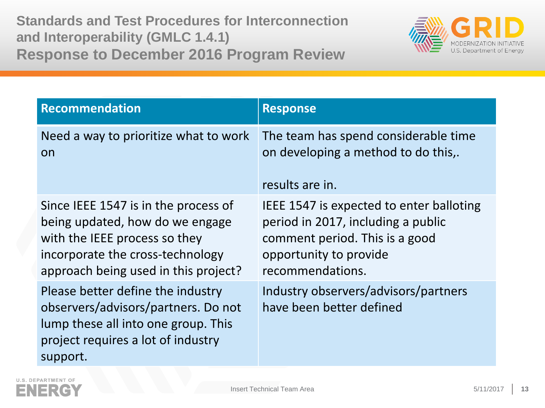**Standards and Test Procedures for Interconnection and Interoperability (GMLC 1.4.1) Response to December 2016 Program Review**



| <b>Recommendation</b>                                                                                                                                                                | <b>Response</b>                                                                                                                                                |
|--------------------------------------------------------------------------------------------------------------------------------------------------------------------------------------|----------------------------------------------------------------------------------------------------------------------------------------------------------------|
| Need a way to prioritize what to work<br>on                                                                                                                                          | The team has spend considerable time<br>on developing a method to do this,.<br>results are in.                                                                 |
| Since IEEE 1547 is in the process of<br>being updated, how do we engage<br>with the IEEE process so they<br>incorporate the cross-technology<br>approach being used in this project? | IEEE 1547 is expected to enter balloting<br>period in 2017, including a public<br>comment period. This is a good<br>opportunity to provide<br>recommendations. |
| Please better define the industry<br>observers/advisors/partners. Do not<br>lump these all into one group. This<br>project requires a lot of industry<br>support.                    | Industry observers/advisors/partners<br>have been better defined                                                                                               |

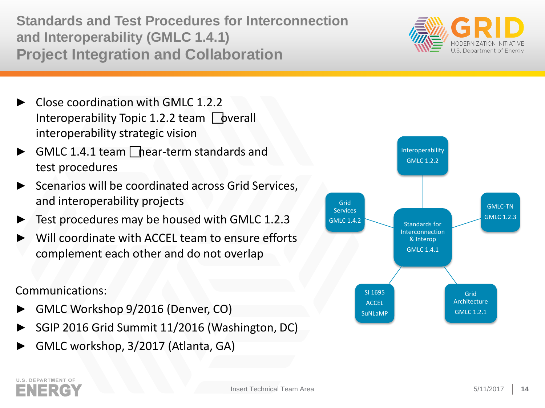**Standards and Test Procedures for Interconnection and Interoperability (GMLC 1.4.1) Project Integration and Collaboration**

- ► Close coordination with GMLC 1.2.2 Interoperability Topic 1.2.2 team  $\Box$  [bverall] interoperability strategic vision
- GMLC 1.4.1 team  $\Box$  hear-term standards and test procedures
- Scenarios will be coordinated across Grid Services, and interoperability projects
- Test procedures may be housed with GMLC 1.2.3
- Will coordinate with ACCEL team to ensure efforts complement each other and do not overlap

### Communications:

- ► GMLC Workshop 9/2016 (Denver, CO)
- ► SGIP 2016 Grid Summit 11/2016 (Washington, DC)
- GMLC workshop, 3/2017 (Atlanta, GA)



# **U.S. DEPARTMENT OF**